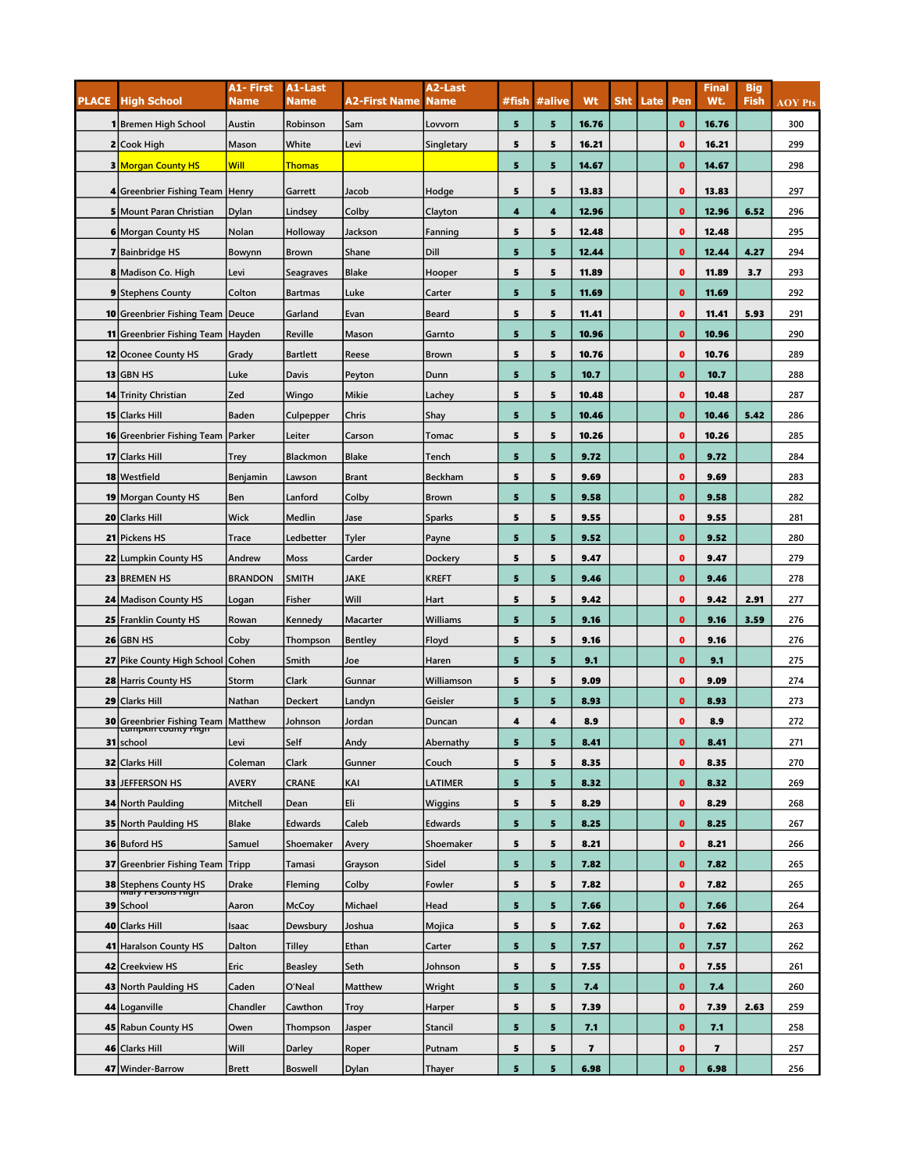|              |                                              | A1- First      | A1-Last         |                      | A2-Last        |       |        |       |            |      |           | <b>Final</b>            | <b>Big</b>  |                |
|--------------|----------------------------------------------|----------------|-----------------|----------------------|----------------|-------|--------|-------|------------|------|-----------|-------------------------|-------------|----------------|
| <b>PLACE</b> | <b>High School</b>                           | <b>Name</b>    | <b>Name</b>     | <b>A2-First Name</b> | <b>Name</b>    | #fish | #alive | Wt    | <b>Sht</b> | Late | Pen       | Wt.                     | <b>Fish</b> | <b>AOY Pts</b> |
|              | 1 Bremen High School                         | Austin         | Robinson        | Sam                  | Lovvorn        | 5     | 5      | 16.76 |            |      | $\bullet$ | 16.76                   |             | 300            |
|              | 2 Cook High                                  | Mason          | White           | Levi                 | Singletary     | 5     | 5      | 16.21 |            |      | $\bullet$ | 16.21                   |             | 299            |
|              | <b>3 Morgan County HS</b>                    | Will           | <b>Thomas</b>   |                      |                | 5     | 5      | 14.67 |            |      | $\bullet$ | 14.67                   |             | 298            |
|              | 4 Greenbrier Fishing Team   Henry            |                | Garrett         | Jacob                | Hodge          | 5     | 5      | 13.83 |            |      | $\bullet$ | 13.83                   |             | 297            |
|              | 5 Mount Paran Christian                      | Dylan          | Lindsey         | Colby                | Clayton        | 4     | 4      | 12.96 |            |      | $\bullet$ | 12.96                   | 6.52        | 296            |
|              | 6 Morgan County HS                           | Nolan          | Holloway        | Jackson              | Fanning        | 5     | 5      | 12.48 |            |      | $\bullet$ | 12.48                   |             | 295            |
|              | <b>7</b> Bainbridge HS                       | Bowynn         | <b>Brown</b>    | Shane                | Dill           | 5     | 5      | 12.44 |            |      | $\bullet$ | 12.44                   | 4.27        | 294            |
|              | 8 Madison Co. High                           | Levi           | Seagraves       | <b>Blake</b>         | Hooper         | 5     | 5      | 11.89 |            |      | $\bullet$ | 11.89                   | 3.7         | 293            |
|              | 9 Stephens County                            | Colton         | <b>Bartmas</b>  | Luke                 | Carter         | 5     | 5      | 11.69 |            |      | $\bullet$ | 11.69                   |             | 292            |
|              | <b>10</b> Greenbrier Fishing Team            | Deuce          | Garland         | Evan                 | <b>Beard</b>   | 5     | 5      | 11.41 |            |      | $\bullet$ | 11.41                   | 5.93        | 291            |
|              | <b>11</b> Greenbrier Fishing Team   Hayden   |                | Reville         | Mason                | Garnto         | 5     | 5      | 10.96 |            |      | $\bullet$ | 10.96                   |             | 290            |
|              | 12 Oconee County HS                          | Grady          | <b>Bartlett</b> | Reese                | <b>Brown</b>   | 5     | 5      | 10.76 |            |      | $\bullet$ | 10.76                   |             | 289            |
|              | $13$ GBN HS                                  | Luke           | Davis           | Peyton               | Dunn           | 5     | 5      | 10.7  |            |      | $\bullet$ | 10.7                    |             | 288            |
|              | <b>14 Trinity Christian</b>                  | Zed            | Wingo           | <b>Mikie</b>         | Lachey         | 5     | 5      | 10.48 |            |      | $\bullet$ | 10.48                   |             | 287            |
|              | 15 Clarks Hill                               | <b>Baden</b>   | Culpepper       | Chris                | Shay           | 5     | 5      | 10.46 |            |      | $\bullet$ | 10.46                   | 5.42        | 286            |
|              | <b>16 Greenbrier Fishing Team Parker</b>     |                | Leiter          | Carson               | Tomac          | 5     | 5      | 10.26 |            |      | $\bullet$ | 10.26                   |             | 285            |
|              | 17 Clarks Hill                               | <b>Trey</b>    | Blackmon        | <b>Blake</b>         | Tench          | 5     | 5      | 9.72  |            |      | $\bullet$ | 9.72                    |             | 284            |
|              | 18 Westfield                                 | Benjamin       | Lawson          | <b>Brant</b>         | Beckham        | 5     | 5      | 9.69  |            |      | $\bullet$ | 9.69                    |             | 283            |
|              | <b>19 Morgan County HS</b>                   | Ben            | Lanford         | Colby                | <b>Brown</b>   | 5     | 5      | 9.58  |            |      | $\bullet$ | 9.58                    |             | 282            |
| 20           | <b>Clarks Hill</b>                           | Wick           | Medlin          | Jase                 | <b>Sparks</b>  | 5     | 5      | 9.55  |            |      | $\bullet$ | 9.55                    |             | 281            |
|              | 21 Pickens HS                                | Trace          | Ledbetter       | Tyler                | Payne          | 5     | 5      | 9.52  |            |      | $\bullet$ | 9.52                    |             | 280            |
|              | 22 Lumpkin County HS                         | Andrew         | Moss            | Carder               | Dockery        | 5     | 5      | 9.47  |            |      | $\bullet$ | 9.47                    |             | 279            |
|              | 23 BREMEN HS                                 | <b>BRANDON</b> | <b>SMITH</b>    | JAKE                 | <b>KREFT</b>   | 5     | 5      | 9.46  |            |      | $\bullet$ | 9.46                    |             | 278            |
|              | <b>24 Madison County HS</b>                  | Logan          | Fisher          | Will                 | Hart           | 5     | 5      | 9.42  |            |      | $\bullet$ | 9.42                    | 2.91        | 277            |
|              | <b>25 Franklin County HS</b>                 | Rowan          | Kennedy         | Macarter             | Williams       | 5     | 5      | 9.16  |            |      | $\bullet$ | 9.16                    | 3.59        | 276            |
|              | $26$ GBN HS                                  | Coby           | Thompson        | <b>Bentley</b>       | Floyd          | 5     | 5      | 9.16  |            |      | $\bullet$ | 9.16                    |             | 276            |
|              | 27 Pike County High School Cohen             |                | Smith           | Joe                  | Haren          | 5     | 5      | 9.1   |            |      | $\bullet$ | 9.1                     |             | 275            |
|              | 28 Harris County HS                          | Storm          | Clark           | Gunnar               | Williamson     | 5     | 5      | 9.09  |            |      | $\bullet$ | 9.09                    |             | 274            |
| 29           | <b>Clarks Hill</b>                           | Nathan         | <b>Deckert</b>  | Landyn               | Geisler        | 5     | 5      | 8.93  |            |      | $\bullet$ | 8.93                    |             | 273            |
| 30           |                                              |                | Johnson         | Jordan               | Duncan         | 4     | 4      | 8.9   |            |      | $\bullet$ | 8.9                     |             | 272            |
|              | Greenbrier Fishing Team Matthew<br>31 school | Levi           | Self            | Andy                 | Abernathy      | 5     | 5      | 8.41  |            |      | o         | 8.41                    |             | 271            |
|              | 32 Clarks Hill                               | Coleman        | Clark           | Gunner               | Couch          | 5     | 5      | 8.35  |            |      | $\bullet$ | 8.35                    |             | 270            |
|              | 33 JEFFERSON HS                              | <b>AVERY</b>   | <b>CRANE</b>    | KAI                  | <b>LATIMER</b> | 5     | 5      | 8.32  |            |      | $\bullet$ | 8.32                    |             | 269            |
|              | <b>34 North Paulding</b>                     | Mitchell       | Dean            | Eli                  | Wiggins        | 5     | 5      | 8.29  |            |      | $\bullet$ | 8.29                    |             | 268            |
|              | 35 North Paulding HS                         | <b>Blake</b>   | <b>Edwards</b>  | Caleb                | Edwards        | 5     | 5      | 8.25  |            |      | $\bullet$ | 8.25                    |             | 267            |
|              | 36 Buford HS                                 | Samuel         | Shoemaker       | Avery                | Shoemaker      | 5     | 5      | 8.21  |            |      | $\bullet$ | 8.21                    |             | 266            |
|              | 37 Greenbrier Fishing Team Tripp             |                | Tamasi          | Grayson              | Sidel          | 5     | 5      | 7.82  |            |      | $\bullet$ | 7.82                    |             | 265            |
|              |                                              | Drake          | Fleming         | Colby                | Fowler         | 5     | 5      | 7.82  |            |      | $\bullet$ | 7.82                    |             | 265            |
|              | <b>38</b> Stephens County HS<br>39 School    | Aaron          | <b>McCoy</b>    | Michael              | Head           | 5     | 5      | 7.66  |            |      | $\bullet$ | 7.66                    |             | 264            |
|              | 40 Clarks Hill                               | Isaac          | Dewsbury        | Joshua               | Mojica         | 5     | 5      | 7.62  |            |      | $\bullet$ | 7.62                    |             | 263            |
|              | 41 Haralson County HS                        | Dalton         | Tilley          | Ethan                | Carter         | 5     | 5      | 7.57  |            |      | $\bullet$ | 7.57                    |             | 262            |
|              | 42 Creekview HS                              | Eric           | <b>Beasley</b>  | Seth                 | Johnson        | 5     | 5      | 7.55  |            |      | $\bullet$ | 7.55                    |             | 261            |
|              | 43 North Paulding HS                         | Caden          | O'Neal          | Matthew              | Wright         | 5     | 5      | 7.4   |            |      | $\bullet$ | 7.4                     |             | 260            |
|              | 44 Loganville                                | Chandler       | Cawthon         | <b>Troy</b>          | Harper         | 5     | 5      | 7.39  |            |      | $\bullet$ | 7.39                    | 2.63        | 259            |
|              | 45 Rabun County HS                           | Owen           | Thompson        | Jasper               | <b>Stancil</b> | 5     | 5      | 7.1   |            |      | $\bullet$ | 7.1                     |             | 258            |
|              | 46 Clarks Hill                               | Will           | Darley          | Roper                | Putnam         | 5     | 5      | 7     |            |      | $\bullet$ | $\overline{\mathbf{z}}$ |             | 257            |
|              | 47 Winder-Barrow                             | <b>Brett</b>   | <b>Boswell</b>  | Dylan                | Thayer         | 5     | 5      | 6.98  |            |      | $\bullet$ | 6.98                    |             | 256            |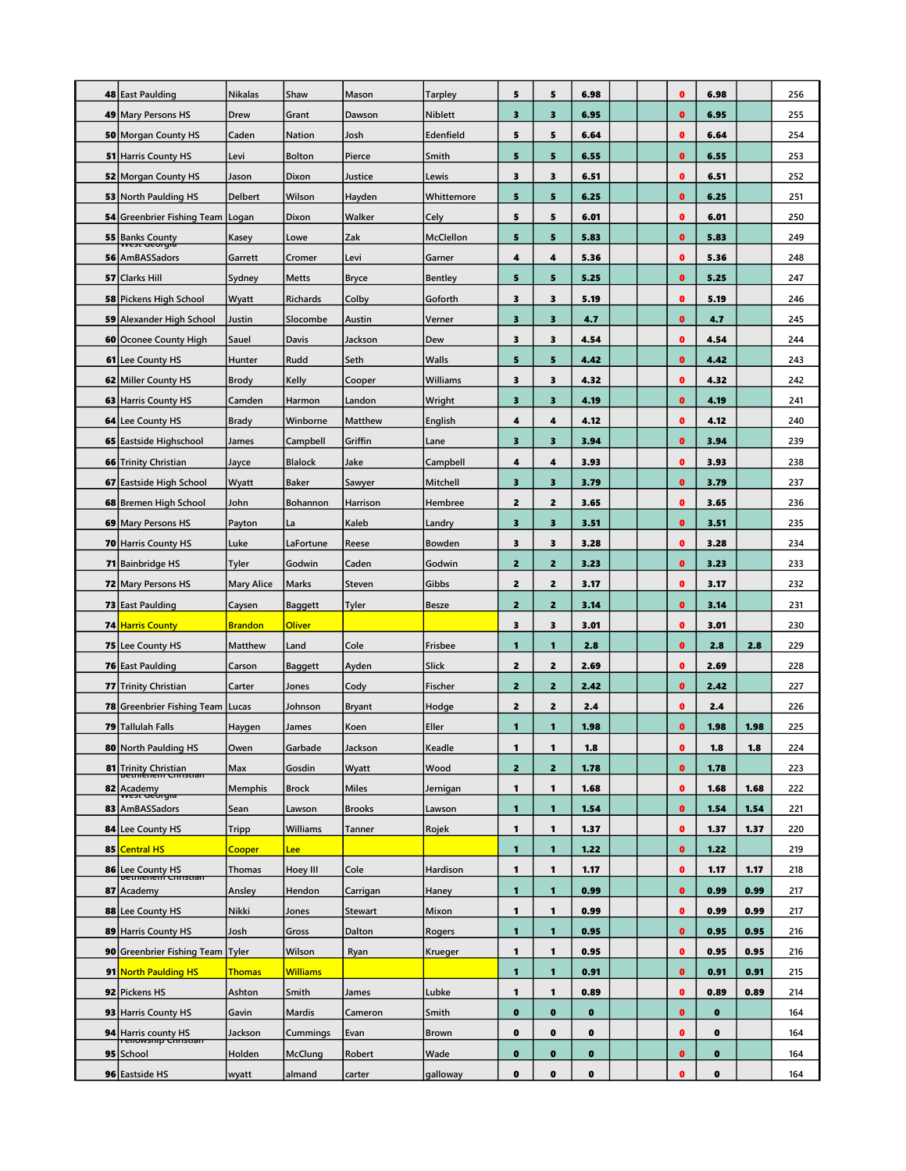|    | 48 East Paulding                                        | <b>Nikalas</b>    | Shaw            | Mason                    | <b>Tarpley</b> | 5                       | 5                       | 6.98         |  | $\bullet$              | 6.98         |              | 256        |
|----|---------------------------------------------------------|-------------------|-----------------|--------------------------|----------------|-------------------------|-------------------------|--------------|--|------------------------|--------------|--------------|------------|
|    | 49 Mary Persons HS                                      | Drew              | Grant           | Dawson                   | <b>Niblett</b> | 3                       | $\overline{\mathbf{3}}$ | 6.95         |  | $\bullet$              | 6.95         |              | 255        |
|    | <b>50 Morgan County HS</b>                              | Caden             | Nation          | Josh                     | Edenfield      | 5                       | 5                       | 6.64         |  | $\bullet$              | 6.64         |              | 254        |
|    | <b>51 Harris County HS</b>                              | Levi              | <b>Bolton</b>   | Pierce                   | Smith          | 5                       | 5                       | 6.55         |  | $\bullet$              | 6.55         |              | 253        |
|    | 52 Morgan County HS                                     | Jason             | Dixon           | Justice                  | Lewis          | 3                       | 3                       | 6.51         |  | $\bullet$              | 6.51         |              | 252        |
|    | <b>53 North Paulding HS</b>                             | <b>Delbert</b>    | Wilson          | Hayden                   | Whittemore     | 5                       | 5                       | 6.25         |  | $\bullet$              | 6.25         |              | 251        |
|    | 54 Greenbrier Fishing Team   Logan                      |                   | Dixon           | Walker                   | Cely           | 5                       | 5                       | 6.01         |  | $\bullet$              | 6.01         |              | 250        |
|    | <b>55</b> Banks County                                  | Kasey             | Lowe            | Zak                      | McClellon      | 5                       | 5                       | 5.83         |  | $\bullet$              | 5.83         |              | 249        |
|    | 56 AmBASSadors                                          | Garrett           | Cromer          | Levi                     | Garner         | 4                       | 4                       | 5.36         |  | $\bullet$              | 5.36         |              | 248        |
|    | 57 Clarks Hill                                          | Sydney            | <b>Metts</b>    | <b>Bryce</b>             | <b>Bentley</b> | 5                       | 5                       | 5.25         |  | $\bullet$              | 5.25         |              | 247        |
|    | <b>58 Pickens High School</b>                           | Wyatt             | <b>Richards</b> | Colby                    | Goforth        | 3                       | 3                       | 5.19         |  | $\bullet$              | 5.19         |              | 246        |
|    | <b>59 Alexander High School</b>                         | Justin            | Slocombe        | Austin                   | Verner         | 3                       | $\overline{\mathbf{3}}$ | 4.7          |  | $\bullet$              | 4.7          |              | 245        |
|    | 60 Oconee County High                                   | Sauel             | Davis           | Jackson                  | Dew            | 3                       | 3                       | 4.54         |  | $\bullet$              | 4.54         |              | 244        |
|    | <b>61</b> Lee County HS                                 | Hunter            | Rudd            | Seth                     | Walls          | 5                       | 5                       | 4.42         |  | $\bullet$              | 4.42         |              | 243        |
|    | 62 Miller County HS                                     | <b>Brody</b>      | Kelly           | Cooper                   | Williams       | 3                       | 3                       | 4.32         |  | $\bullet$              | 4.32         |              | 242        |
|    | 63 Harris County HS                                     | Camden            | Harmon          | Landon                   | Wright         | 3                       | 3                       | 4.19         |  | $\bullet$              | 4.19         |              | 241        |
|    | <b>64</b> Lee County HS                                 | <b>Brady</b>      | Winborne        | Matthew                  | English        | 4                       | 4                       | 4.12         |  | $\bullet$              | 4.12         |              | 240        |
|    | 65 Eastside Highschool                                  | James             | Campbell        | Griffin                  | Lane           | $\overline{\mathbf{3}}$ | 3                       | 3.94         |  | $\bullet$              | 3.94         |              | 239        |
|    | 66 Trinity Christian                                    | Jayce             | <b>Blalock</b>  | Jake                     | Campbell       | 4                       | 4                       | 3.93         |  | $\bullet$              | 3.93         |              | 238        |
| 67 | <b>Eastside High School</b>                             | Wyatt             | <b>Baker</b>    | Sawyer                   | Mitchell       | 3                       | 3                       | 3.79         |  | $\bullet$              | 3.79         |              | 237        |
|    | 68 Bremen High School                                   | John              | <b>Bohannon</b> | Harrison                 | Hembree        | 2                       | $\overline{2}$          | 3.65         |  | $\bullet$              | 3.65         |              | 236        |
|    | 69 Mary Persons HS                                      | Payton            | La              | Kaleb                    | Landry         | 3                       | $\overline{\mathbf{3}}$ | 3.51         |  | $\bullet$              | 3.51         |              | 235        |
|    | <b>70 Harris County HS</b>                              | Luke              | LaFortune       | Reese                    | Bowden         | 3                       | 3                       | 3.28         |  | $\bullet$              | 3.28         |              | 234        |
|    | 71 Bainbridge HS                                        | Tyler             | Godwin          | Caden                    | Godwin         | $\overline{\mathbf{z}}$ | $\overline{2}$          | 3.23         |  | $\bullet$              | 3.23         |              | 233        |
|    | <b>72 Mary Persons HS</b>                               | <b>Mary Alice</b> | Marks           | Steven                   | Gibbs          | 2                       | $\overline{2}$          | 3.17         |  | $\bullet$              | 3.17         |              | 232        |
|    | <b>73 East Paulding</b>                                 | Caysen            | <b>Baggett</b>  | <b>Tyler</b>             | <b>Besze</b>   | 2                       | $\overline{2}$          | 3.14         |  | $\bullet$              | 3.14         |              | 231        |
|    | <b>74 Harris County</b>                                 | <b>Brandon</b>    | <b>Oliver</b>   |                          |                | 3                       | 3                       | 3.01         |  | $\bullet$              | 3.01         |              | 230        |
|    | 75 Lee County HS                                        | Matthew           | Land            | Cole                     | Frisbee        | 1                       | $\mathbf{1}$            | 2.8          |  | $\bullet$              | 2.8          | 2.8          | 229        |
|    | 76 East Paulding                                        | Carson            | <b>Baggett</b>  | Ayden                    | Slick          | 2                       | $\overline{2}$          | 2.69         |  | $\bullet$              | 2.69         |              | 228        |
|    | 77 Trinity Christian                                    | Carter            | Jones           | Cody                     | Fischer        | 2                       | $\overline{2}$          | 2.42         |  | $\bullet$              | 2.42         |              | 227        |
|    | <b>78 Greenbrier Fishing Team Lucas</b>                 |                   | Johnson         | <b>Bryant</b>            | Hodge          | 2                       | $\overline{2}$          | 2,4          |  | $\bullet$              | 2.4          |              | 226        |
|    | 79 Tallulah Falls                                       | Haygen            | James           | Koen                     | Eller          | 1                       | 1                       | 1.98         |  | $\bullet$              | 1.98         | 1.98         | 225        |
|    | 80 North Paulding HS                                    | Owen              | Garbade         | Jackson                  | Keadle         | 1                       | 1                       | 1.8          |  | $\bullet$              | 1.8          | 1.8          | 224        |
|    | 81 Trinity Christian<br><del>setting controller</del>   | Max               | Gosdin          | Wyatt                    | Wood           | $\overline{\mathbf{z}}$ | $\mathbf{z}$            | 1.78         |  | $\bullet$              | 1.78         |              | 223        |
| 82 | Academy<br>west deorgia                                 | <b>Memphis</b>    | <b>Brock</b>    | <b>Miles</b>             | Jernigan       | 1                       | 1                       | 1.68         |  | $\bullet$              | 1.68         | 1.68         | 222        |
| 83 | AmBASSadors                                             | Sean              | Lawson          | <b>Brooks</b>            | Lawson         | 1                       | 1                       | 1.54         |  | $\bullet$              | 1.54         | 1.54         | 221        |
|    | 84 Lee County HS                                        | <b>Tripp</b>      | Williams        | Tanner                   | Rojek          | 1                       | 1                       | 1.37         |  | $\bullet$              | 1.37         | 1.37         | 220        |
| 85 | <b>Central HS</b>                                       | <b>Cooper</b>     | Lee             |                          |                | 1                       | $\mathbf{1}$            | 1.22         |  | $\bullet$              | 1.22         |              | 219        |
| 86 | Lee County HS<br><del>Detmenent Courstian</del>         | <b>Thomas</b>     | Hoey III        | Cole                     | Hardison       | 1                       | 1                       | 1.17         |  | $\bullet$              | 1.17         | 1.17         | 218        |
| 87 | Academy                                                 | Ansley            | Hendon          | Carrigan                 | Haney          | 1                       | 1                       | 0.99         |  | $\bullet$              | 0.99         | 0.99         | 217        |
|    | 88 Lee County HS                                        | Nikki             | Jones           | <b>Stewart</b><br>Dalton | Mixon          | 1<br>1                  | 1<br>1                  | 0.99         |  | $\bullet$<br>$\bullet$ | 0.99         | 0.99         | 217        |
|    | 89 Harris County HS<br>90 Greenbrier Fishing Team Tyler | Josh              | Gross<br>Wilson |                          | Rogers         | 1                       | 1                       | 0.95<br>0.95 |  | $\bullet$              | 0.95<br>0.95 | 0.95<br>0.95 | 216<br>216 |
|    | 91 North Paulding HS                                    | <b>Thomas</b>     | <b>Williams</b> | Ryan                     | Krueger        | 1                       | 1                       | 0.91         |  | $\bullet$              | 0.91         | 0.91         | 215        |
|    | 92 Pickens HS                                           | Ashton            | Smith           | James                    | Lubke          | 1                       | 1                       | 0.89         |  | $\bullet$              | 0.89         | 0.89         | 214        |
|    | 93 Harris County HS                                     | Gavin             | <b>Mardis</b>   | Cameron                  | Smith          | $\bullet$               | $\bullet$               | $\bullet$    |  | $\bullet$              | $\bf{0}$     |              | 164        |
|    |                                                         | Jackson           | Cummings        | Evan                     | Brown          | $\mathbf 0$             | $\bf o$                 | $\bullet$    |  | $\bullet$              | 0            |              | 164        |
|    | 94 Harris county HS<br>95 School                        | Holden            | McClung         | Robert                   | Wade           | $\bullet$               | $\bullet$               | $\bullet$    |  | $\bullet$              | $\bullet$    |              | 164        |
|    | 96 Eastside HS                                          | wyatt             | almand          | carter                   | galloway       | $\mathbf 0$             | $\pmb{0}$               | 0            |  | $\bullet$              | $\pmb{0}$    |              | 164        |
|    |                                                         |                   |                 |                          |                |                         |                         |              |  |                        |              |              |            |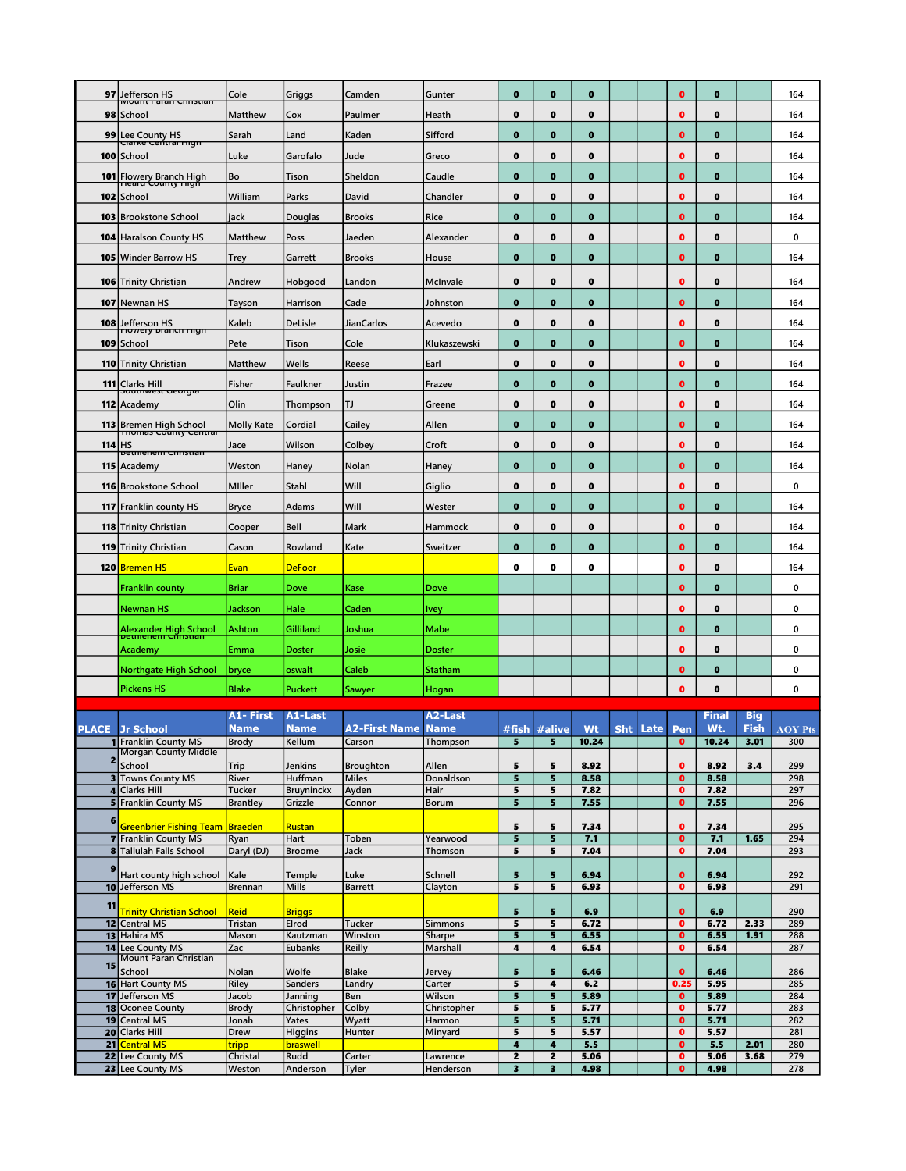| 97           | Jefferson HS                                                          | Cole                      | Griggs                       | Camden                   | Gunter                   | $\bf o$                      | $\bullet$                               | $\bf o$      |            |      | 0                      | $\bf o$      |                    | 164            |
|--------------|-----------------------------------------------------------------------|---------------------------|------------------------------|--------------------------|--------------------------|------------------------------|-----------------------------------------|--------------|------------|------|------------------------|--------------|--------------------|----------------|
|              | nount raian Cimstial                                                  |                           |                              |                          |                          |                              |                                         |              |            |      |                        |              |                    |                |
| 98           | School                                                                | Matthew                   | Cox                          | Paulmer                  | Heath                    | $\mathbf 0$                  | $\bullet$                               | $\bf o$      |            |      | 0                      | $\mathbf 0$  |                    | 164            |
| 99           | Lee County HS<br>Cranke Central High                                  | Sarah                     | Land                         | Kaden                    | Sifford                  | $\bf{0}$                     | $\mathbf 0$                             | $\bf o$      |            |      | $\bullet$              | $\bf o$      |                    | 164            |
| 100          | School                                                                | Luke                      | Garofalo                     | Jude                     | Greco                    | 0                            | $\mathbf 0$                             | $\bf o$      |            |      | 0                      | 0            |                    | 164            |
| 101          | Flowery Branch High<br><del>hearu County myn</del>                    | Bo                        | Tison                        | Sheldon                  | Caudle                   | $\bf{0}$                     | $\bullet$                               | $\bf o$      |            |      | $\bf o$                | $\bf{0}$     |                    | 164            |
| 102          | School                                                                | William                   | Parks                        | David                    | Chandler                 | $\bf{0}$                     | $\mathbf 0$                             | $\bf o$      |            |      | o                      | 0            |                    | 164            |
| 103          | <b>Brookstone School</b>                                              | jack                      | Douglas                      | <b>Brooks</b>            | Rice                     | $\bf{0}$                     | $\mathbf 0$                             | $\bf o$      |            |      | 0                      | $\bullet$    |                    | 164            |
| 104          | <b>Haralson County HS</b>                                             | Matthew                   | Poss                         | Jaeden                   | Alexander                | 0                            | $\mathbf 0$                             | $\bf o$      |            |      | Ω                      | 0            |                    | 0              |
| 105          | <b>Winder Barrow HS</b>                                               | Trey                      | Garrett                      | <b>Brooks</b>            | House                    | $\bf o$                      | $\mathbf 0$                             | $\bf o$      |            |      | 0                      | $\bf{0}$     |                    | 164            |
|              | <b>106 Trinity Christian</b>                                          | Andrew                    | Hobgood                      | Landon                   | McInvale                 | 0                            | $\mathbf 0$                             | $\bf o$      |            |      | Ω                      | $\bf o$      |                    | 164            |
| 107          | Newnan HS                                                             | Tayson                    | Harrison                     | Cade                     | Johnston                 | $\bf{0}$                     | $\mathbf 0$                             | $\bf o$      |            |      | 0                      | $\bullet$    |                    | 164            |
|              | 108 Jefferson HS                                                      | Kaleb                     | <b>DeLisle</b>               | JianCarlos               | Acevedo                  | $\bf{0}$                     | $\bf o$                                 | $\bf{0}$     |            |      | 0                      | $\bullet$    |                    | 164            |
| 109          | <del>riowery prancii myn</del><br>School                              | Pete                      | Tison                        | Cole                     | Klukaszewski             | $\bullet$                    | $\bullet$                               | $\bf{0}$     |            |      | 0                      | $\bf{0}$     |                    | 164            |
| 110          | Trinity Christian                                                     | Matthew                   | Wells                        | Reese                    | Earl                     | $\mathbf 0$                  | $\bullet$                               | $\bf o$      |            |      | 0                      | $\mathbf 0$  |                    | 164            |
|              | 111 Clarks Hill                                                       | Fisher                    | Faulkner                     | Justin                   | Frazee                   | $\bf{0}$                     | $\mathbf 0$                             | $\bf o$      |            |      | $\bullet$              | $\bf o$      |                    | 164            |
|              | <del>soutnwest deorgia</del><br>112 Academy                           | Olin                      | Thompson                     | TJ                       | Greene                   | 0                            | $\bullet$                               | 0            |            |      | 0                      | 0            |                    | 164            |
|              | 113 Bremen High School                                                | Molly Kate                | Cordial                      | Cailey                   | Allen                    | $\bullet$                    | $\bullet$                               | $\bf o$      |            |      | 0                      | $\mathbf 0$  |                    | 164            |
| 114          | momas county central<br>нs                                            | Jace                      | Wilson                       | Colbey                   | Croft                    | $\bf o$                      | $\mathbf 0$                             | $\bf o$      |            |      | 0                      | 0            |                    | 164            |
|              | <del>petmenem Christian</del><br>115 Academy                          | Weston                    | Haney                        | Nolan                    | Haney                    | $\mathbf 0$                  | $\bullet$                               | $\bf o$      |            |      | 0                      | $\bf{0}$     |                    | 164            |
|              | <b>116 Brookstone School</b>                                          | Miller                    | Stahl                        | Will                     | Giglio                   | 0                            | $\mathbf 0$                             | $\bf o$      |            |      | Ω                      | 0            |                    | 0              |
| 117          | <b>Franklin county HS</b>                                             | Bryce                     | Adams                        | Will                     | Wester                   | $\bf o$                      | $\mathbf 0$                             | $\bf o$      |            |      | 0                      | $\bullet$    |                    | 164            |
|              | <b>118</b> Trinity Christian                                          | Cooper                    | Bell                         | Mark                     | Hammock                  | $\bf{0}$                     | $\bf o$                                 | 0            |            |      | $\bullet$              | $\bullet$    |                    | 164            |
| 119          | <b>Trinity Christian</b>                                              | Cason                     | Rowland                      | Kate                     | Sweitzer                 | $\bullet$                    | $\bullet$                               | $\bf{0}$     |            |      | 0                      | $\mathbf 0$  |                    | 164            |
| 120          | <b>Bremen HS</b>                                                      | Evan                      | <b>DeFoor</b>                |                          |                          | 0                            | 0                                       | 0            |            |      | 0                      | 0            |                    | 164            |
|              | Franklin county                                                       | <b>Briar</b>              | Dove                         | Kase                     | Dove                     |                              |                                         |              |            |      | $\bullet$              | $\bf o$      |                    | 0              |
|              | <b>Newnan HS</b>                                                      | Jackson                   | Hale                         | Caden                    | Ivey                     |                              |                                         |              |            |      | 0                      | 0            |                    | 0              |
|              | Alexander High School                                                 | Ashton                    | Gilliland                    | Joshua                   | Mabe                     |                              |                                         |              |            |      | 0                      | $\mathbf 0$  |                    | 0              |
|              | Academy                                                               | Emma                      | Doster                       | Josie                    | <b>Doster</b>            |                              |                                         |              |            |      | 0                      | 0            |                    | 0              |
|              | <b>Northgate High School</b>                                          | bryce                     | oswalt                       | Caleb                    | Statham                  |                              |                                         |              |            |      | 0                      | 0            |                    | 0              |
|              | <b>Pickens HS</b>                                                     | <b>Blake</b>              | <b>Puckett</b>               | Sawyer                   | Hogan                    |                              |                                         |              |            |      | 0                      | $\mathbf 0$  |                    | 0              |
|              |                                                                       |                           |                              |                          |                          |                              |                                         |              |            |      |                        |              |                    |                |
| <b>PLACE</b> | <b>Jr School</b>                                                      | A1- First<br>Name         | A1-Last<br>Name              | <b>A2-First Name</b>     | A2-Last<br><b>Name</b>   | #fish                        | #alive                                  | Wt           | <b>Sht</b> | Late | Pen                    | Final<br>Wt. | <b>Big</b><br>Fish | <b>AOY Pts</b> |
|              | T Franklin County MS <br><b>Morgan County Middle</b>                  | Brody                     | <u>Kellum</u>                | Carson                   | <b>Inompson</b>          | э                            | э                                       | 10.24        |            |      | U                      | 10.24        | 3.01               | 300            |
|              | School                                                                | Trip                      | Jenkins                      | <b>Broughton</b>         | Allen                    | 5                            | 5                                       | 8.92         |            |      | $\bullet$              | 8.92         | 3.4                | 299            |
|              | <b>3</b> Towns County MS                                              | River                     | Huffman                      | <b>Miles</b>             | Donaldson                | 5                            | 5                                       | 8.58         |            |      | $\bullet$              | 8.58         |                    | 298            |
|              | 4 Clarks Hill<br><b>5</b> Franklin County MS                          | Tucker<br><b>Brantley</b> | <b>Bruyninckx</b><br>Grizzle | Ayden<br>Connor          | Hair<br>Borum            | 5<br>5                       | 5<br>5                                  | 7.82<br>7.55 |            |      | $\bullet$<br>$\bullet$ | 7.82<br>7.55 |                    | 297<br>296     |
| $6 \mid$     |                                                                       |                           |                              |                          |                          |                              |                                         |              |            |      |                        |              |                    |                |
|              | <b>Greenbrier Fishing Team Braeden</b><br><b>7</b> Franklin County MS | Ryan                      | <b>Rustan</b><br>Hart        | Toben                    | Yearwood                 | 5<br>$\overline{\mathbf{5}}$ | 5<br>5                                  | 7.34<br>7.1  |            |      | $\bullet$<br>$\bullet$ | 7.34<br>7.1  | 1.65               | 295<br>294     |
|              | 8 Tallulah Falls School                                               | Daryl (DJ)                | <b>Broome</b>                | Jack                     | Thomson                  | 5                            | 5                                       | 7.04         |            |      | $\bullet$              | 7.04         |                    | 293            |
|              | Hart county high school                                               | Kale                      | Temple                       | Luke                     | Schnell                  | 5                            | 5                                       | 6.94         |            |      | $\bullet$              | 6.94         |                    | 292            |
|              | 10 Jefferson MS                                                       | Brennan                   | Mills                        | <b>Barrett</b>           | Clayton                  | 5                            | 5                                       | 6.93         |            |      | $\bullet$              | 6.93         |                    | 291            |
| 11           | <b>Trinity Christian School</b>                                       | Reid                      | <b>Briggs</b>                |                          |                          | 5                            | 5                                       | 6.9          |            |      | $\bullet$              | 6.9          |                    | 290            |
|              | 12 Central MS<br>13 Hahira MS                                         | Tristan<br>Mason          | Elrod<br>Kautzman            | <b>Tucker</b><br>Winston | <b>Simmons</b><br>Sharpe | 5<br>5                       | 5<br>5                                  | 6.72<br>6.55 |            |      | 0<br>$\bullet$         | 6.72<br>6.55 | 2.33<br>1.91       | 289<br>288     |
|              | 14 Lee County MS                                                      | Zac                       | <b>Eubanks</b>               | Reilly                   | Marshall                 | 4                            | 4                                       | 6.54         |            |      | $\bullet$              | 6.54         |                    | 287            |
| 15           |                                                                       |                           |                              |                          |                          |                              |                                         |              |            |      |                        |              |                    |                |
|              | <b>Mount Paran Christian</b>                                          |                           |                              |                          |                          |                              |                                         |              |            |      |                        |              |                    |                |
|              | School<br>16 Hart County MS                                           | Nolan<br>Riley            | Wolfe<br>Sanders             | <b>Blake</b><br>Landry   | Jervey<br>Carter         | 5<br>5                       | 5<br>4                                  | 6.46<br>6.2  |            |      | $\bullet$<br>0.25      | 6.46<br>5.95 |                    | 286<br>285     |
|              | 17 Jefferson MS                                                       | Jacob                     | Janning                      | Ben                      | Wilson                   | 5                            | 5                                       | 5.89         |            |      | $\bullet$              | 5.89         |                    | 284            |
|              | 18 Oconee County                                                      | <b>Brody</b>              | Christopher                  | Colby                    | Christopher              | 5                            | 5                                       | 5.77         |            |      | $\bullet$              | 5.77         |                    | 283            |
|              | 19 Central MS<br>20 Clarks Hill                                       | Jonah<br>Drew             | Yates<br>Higgins             | Wyatt<br>Hunter          | Harmon<br>Minyard        | 5<br>$\overline{\mathbf{5}}$ | 5<br>5                                  | 5.71<br>5.57 |            |      | $\bullet$<br>$\bullet$ | 5.71<br>5.57 |                    | 282<br>281     |
| 21           | <b>Central MS</b>                                                     | tripp                     | braswell                     |                          |                          | 4                            | 4                                       | 5.5          |            |      | $\bullet$              | 5.5          | 2.01               | 280            |
|              | 22 Lee County MS<br>23 Lee County MS                                  | Christal<br>Weston        | Rudd<br>Anderson             | Carter<br><b>Tyler</b>   | Lawrence<br>Henderson    | $\mathbf{z}$<br>3            | $\mathbf{z}$<br>$\overline{\mathbf{3}}$ | 5.06<br>4.98 |            |      | $\bullet$<br>$\bullet$ | 5.06<br>4.98 | 3.68               | 279<br>278     |